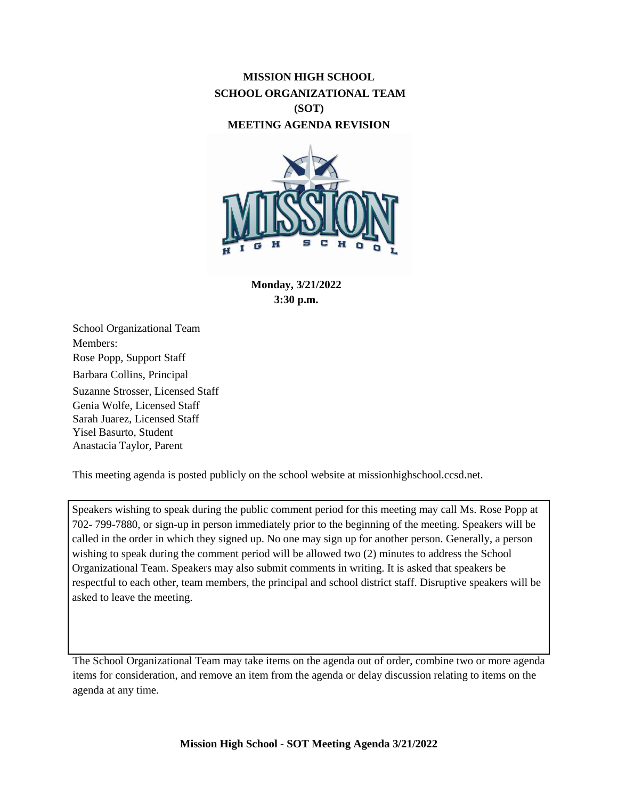## **MISSION HIGH SCHOOL SCHOOL ORGANIZATIONAL TEAM (SOT) MEETING AGENDA REVISION**



**Monday, 3/21/2022 3:30 p.m.**

School Organizational Team Members: Rose Popp, Support Staff Barbara Collins, Principal Suzanne Strosser, Licensed Staff Genia Wolfe, Licensed Staff Sarah Juarez, Licensed Staff Yisel Basurto, Student Anastacia Taylor, Parent

This meeting agenda is posted publicly on the school website at missionhighschool.ccsd.net.

Speakers wishing to speak during the public comment period for this meeting may call Ms. Rose Popp at 702- 799-7880, or sign-up in person immediately prior to the beginning of the meeting. Speakers will be called in the order in which they signed up. No one may sign up for another person. Generally, a person wishing to speak during the comment period will be allowed two (2) minutes to address the School Organizational Team. Speakers may also submit comments in writing. It is asked that speakers be respectful to each other, team members, the principal and school district staff. Disruptive speakers will be asked to leave the meeting.

The School Organizational Team may take items on the agenda out of order, combine two or more agenda items for consideration, and remove an item from the agenda or delay discussion relating to items on the agenda at any time.

**Mission High School - SOT Meeting Agenda 3/21/2022**